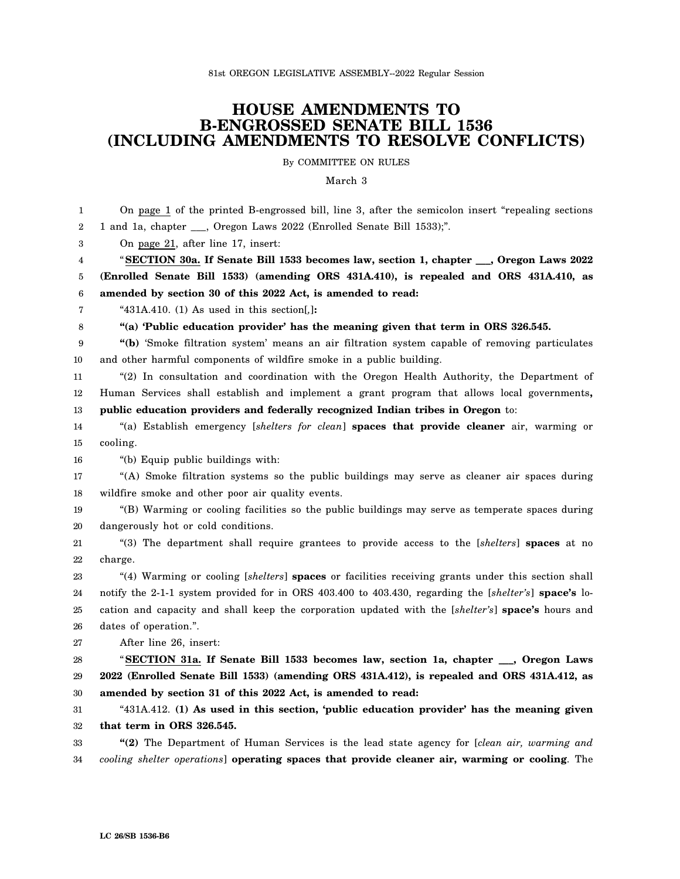## **HOUSE AMENDMENTS TO B-ENGROSSED SENATE BILL 1536 (INCLUDING AMENDMENTS TO RESOLVE CONFLICTS)**

By COMMITTEE ON RULES

March 3

| 1                | On page 1 of the printed B-engrossed bill, line 3, after the semicolon insert "repealing sections     |
|------------------|-------------------------------------------------------------------------------------------------------|
| $\boldsymbol{2}$ | 1 and 1a, chapter ___, Oregon Laws 2022 (Enrolled Senate Bill 1533);".                                |
| 3                | On page 21, after line 17, insert:                                                                    |
| 4                | "SECTION 30a. If Senate Bill 1533 becomes law, section 1, chapter __, Oregon Laws 2022                |
| 5                | (Enrolled Senate Bill 1533) (amending ORS 431A.410), is repealed and ORS 431A.410, as                 |
| 6                | amended by section 30 of this 2022 Act, is amended to read:                                           |
| 7                | " $431A.410.$ (1) As used in this section[,]:                                                         |
| 8                | "(a) 'Public education provider' has the meaning given that term in ORS 326.545.                      |
| 9                | "(b) 'Smoke filtration system' means an air filtration system capable of removing particulates        |
| 10               | and other harmful components of wildfire smoke in a public building.                                  |
| 11               | "(2) In consultation and coordination with the Oregon Health Authority, the Department of             |
| 12               | Human Services shall establish and implement a grant program that allows local governments,           |
| 13               | public education providers and federally recognized Indian tribes in Oregon to:                       |
| 14               | "(a) Establish emergency [shelters for clean] spaces that provide cleaner air, warming or             |
| 15               | cooling.                                                                                              |
| 16               | "(b) Equip public buildings with:                                                                     |
| 17               | "(A) Smoke filtration systems so the public buildings may serve as cleaner air spaces during          |
| 18               | wildfire smoke and other poor air quality events.                                                     |
| 19               | "(B) Warming or cooling facilities so the public buildings may serve as temperate spaces during       |
| 20               | dangerously hot or cold conditions.                                                                   |
| 21               | "(3) The department shall require grantees to provide access to the [shelters] spaces at no           |
| 22               | charge.                                                                                               |
| 23               | "(4) Warming or cooling [shelters] spaces or facilities receiving grants under this section shall     |
| 24               | notify the 2-1-1 system provided for in ORS 403.400 to 403.430, regarding the [shelter's] space's lo- |
| 25               | cation and capacity and shall keep the corporation updated with the [shelter's] space's hours and     |
| 26               | dates of operation.".                                                                                 |
| 27               | After line 26, insert:                                                                                |
| 28               | "SECTION 31a. If Senate Bill 1533 becomes law, section 1a, chapter __, Oregon Laws                    |
| 29               | 2022 (Enrolled Senate Bill 1533) (amending ORS 431A.412), is repealed and ORS 431A.412, as            |
| 30               | amended by section 31 of this 2022 Act, is amended to read:                                           |
| 31               | "431A.412. (1) As used in this section, 'public education provider' has the meaning given             |
| 32               | that term in ORS 326.545.                                                                             |
| 33               | "(2) The Department of Human Services is the lead state agency for [clean air, warming and            |
| 34               | cooling shelter operations] operating spaces that provide cleaner air, warming or cooling. The        |